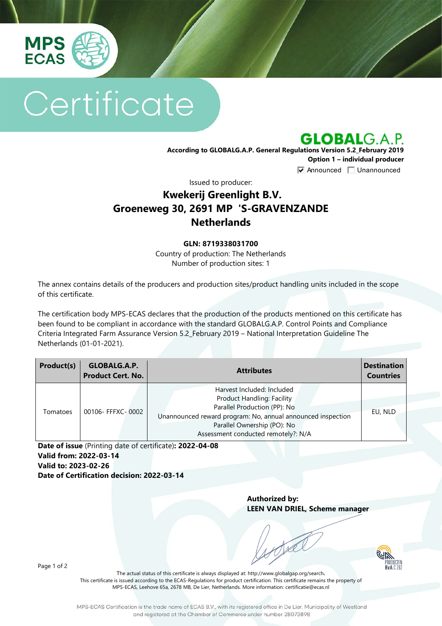

# Certificate

**GLOBALG.A.P.** 

**According to GLOBALG.A.P. General Regulations Version 5.2\_February 2019 Option 1 – individual producer**  $\nabla$  Announced  $\nabla$  Unannounced

Issued to producer:

## **Kwekerij Greenlight B.V. Groeneweg 30, 2691 MP 'S-GRAVENZANDE Netherlands**

### **GLN: 8719338031700**

Country of production: The Netherlands Number of production sites: 1

The annex contains details of the producers and production sites/product handling units included in the scope of this certificate.

The certification body MPS-ECAS declares that the production of the products mentioned on this certificate has been found to be compliant in accordance with the standard GLOBALG.A.P. Control Points and Compliance Criteria Integrated Farm Assurance Version 5.2\_February 2019 – National Interpretation Guideline The Netherlands (01-01-2021).

| Product(s) | GLOBALG.A.P.<br><b>Product Cert. No.</b> | <b>Attributes</b>                                                                                                                                                                                                                    | <b>Destination</b><br><b>Countries</b> |
|------------|------------------------------------------|--------------------------------------------------------------------------------------------------------------------------------------------------------------------------------------------------------------------------------------|----------------------------------------|
| Tomatoes   | 00106- FFFXC- 0002                       | Harvest Included: Included<br><b>Product Handling: Facility</b><br>Parallel Production (PP): No<br>Unannounced reward program: No, annual announced inspection<br>Parallel Ownership (PO): No<br>Assessment conducted remotely?: N/A | EU, NLD                                |

**Date of issue** (Printing date of certificate)**: 2022-04-08 Valid from: 2022-03-14 Valid to: 2023-02-26 Date of Certification decision: 2022-03-14**

> **Authorized by: LEEN VAN DRIEL, Scheme manager**



Page 1 of 2

The actual status of this certificate is always displayed at: <http://www.globalgap.org/search>**.**  This certificate is issued according to the ECAS-Regulations for product certification. This certificate remains the property of MPS-ECAS, Leehove 65a, 2678 MB, De Lier, Netherlands. More information[: certificatie@ecas.nl](mailto:certificatie@ecas.nl)